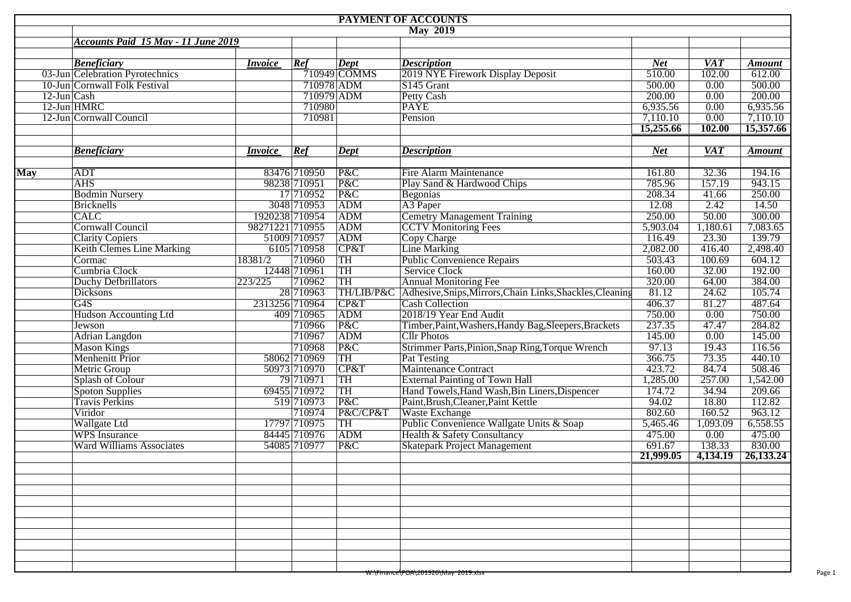|             |                                            |                 |              |                           | PAYMENT OF ACCOUNTS                                                  |            |                  |               |
|-------------|--------------------------------------------|-----------------|--------------|---------------------------|----------------------------------------------------------------------|------------|------------------|---------------|
|             |                                            |                 |              |                           | $\overline{\text{May } 2019}$                                        |            |                  |               |
|             | <b>Accounts Paid 15 May - 11 June 2019</b> |                 |              |                           |                                                                      |            |                  |               |
|             |                                            |                 |              |                           |                                                                      |            |                  |               |
|             | <b>Beneficiary</b>                         | <i>Invoice</i>  | Ref          | Dept                      | <b>Description</b>                                                   | <b>Net</b> | <b>VAT</b>       | <b>Amount</b> |
|             | 03-Jun Celebration Pyrotechnics            |                 |              | $\overline{710949}$ COMMS | 2019 NYE Firework Display Deposit                                    | 510.00     | 102.00           | 612.00        |
|             | 10-Jun Cornwall Folk Festival              |                 | 710978 ADM   |                           | S145 Grant                                                           | 500.00     | 0.00             | 500.00        |
| 12-Jun Cash |                                            |                 | 710979 ADM   |                           | <b>Petty Cash</b>                                                    | 200.00     | 0.00             | 200.00        |
|             | 12-Jun HMRC                                |                 | 710980       |                           | <b>PAYE</b>                                                          | 6,935.56   | 0.00             | 6,935.56      |
|             | 12-Jun Cornwall Council                    |                 | 710981       |                           | Pension                                                              | 7,110.10   | 0.00             | 7,110.10      |
|             |                                            |                 |              |                           |                                                                      | 15,255.66  | 102.00           | 15,357.66     |
|             |                                            |                 |              |                           |                                                                      |            |                  |               |
|             | <b>Beneficiary</b>                         | <i>Invoice</i>  | Ref          | Dept                      | <b>Description</b>                                                   | <b>Net</b> | $\overline{VAT}$ | <b>Amount</b> |
|             |                                            |                 |              |                           |                                                                      |            |                  |               |
| <b>May</b>  | ADT                                        |                 | 83476 710950 | P&C                       | Fire Alarm Maintenance                                               | 161.80     | 32.36            | 194.16        |
|             | <b>AHS</b>                                 |                 | 98238 710951 | P&C                       | Play Sand & Hardwood Chips                                           | 785.96     | 157.19           | 943.15        |
|             | <b>Bodmin Nursery</b>                      |                 | 17 710952    | P&C                       | Begonias                                                             | 208.34     | 41.66            | 250.00        |
|             | <b>Bricknells</b>                          |                 | 3048 710953  | ADM                       | A3 Paper                                                             | 12.08      | 2.42             | 14.50         |
|             | <b>CALC</b>                                | 1920238 710954  |              | <b>ADM</b>                | <b>Cemetry Management Training</b>                                   | 250.00     | 50.00            | 300.00        |
|             | <b>Cornwall Council</b>                    | 98271221 710955 |              | ADM                       | <b>CCTV</b> Monitoring Fees                                          | 5,903.04   | 1,180.61         | 7,083.65      |
|             | <b>Clarity Copiers</b>                     |                 | 51009 710957 | ADM                       | Copy Charge                                                          | 116.49     | 23.30            | 139.79        |
|             | <b>Keith Clemes Line Marking</b>           |                 | 6105 710958  | CP&T                      | Line Marking                                                         | 2,082.00   | 416.40           | 2,498.40      |
|             | Cormac                                     | 18381/2         | 710960       | <b>TH</b>                 | <b>Public Convenience Repairs</b>                                    | 503.43     | 100.69           | 604.12        |
|             | Cumbria Clock                              |                 | 12448 710961 | TH                        | <b>Service Clock</b>                                                 | 160.00     | 32.00            | 192.00        |
|             | Duchy Defbrillators                        | 223/225         | 710962       | TH                        | <b>Annual Monitoring Fee</b>                                         | 320.00     | 64.00            | 384.00        |
|             | <b>Dicksons</b>                            |                 | 28 710963    |                           | TH/LIB/P&C Adhesive, Snips, Mirrors, Chain Links, Shackles, Cleaning | 81.12      | 24.62            | 105.74        |
|             | G4S                                        | 2313256 710964  |              | CP&T                      | <b>Cash Collection</b>                                               | 406.37     | 81.27            | 487.64        |
|             | <b>Hudson Accounting Ltd</b>               |                 | 409 710965   | ADM                       | 2018/19 Year End Audit                                               | 750.00     | 0.00             | 750.00        |
|             | Jewson                                     |                 | 710966       | P&C                       | Timber, Paint, Washers, Handy Bag, Sleepers, Brackets                | 237.35     | 47.47            | 284.82        |
|             | <b>Adrian Langdon</b>                      |                 | 710967       | ADM                       | <b>Cllr Photos</b>                                                   | 145.00     | 0.00             | 145.00        |
|             | <b>Mason Kings</b>                         |                 | 710968       | P&C                       | Strimmer Parts, Pinion, Snap Ring, Torque Wrench                     | 97.13      | 19.43            | 116.56        |
|             | <b>Menhenitt Prior</b>                     |                 | 58062 710969 | TH                        | Pat Testing                                                          | 366.75     | 73.35            | 440.10        |
|             | <b>Metric Group</b>                        |                 | 50973 710970 | CP&T                      | Maintenance Contract                                                 | 423.72     | 84.74            | 508.46        |
|             | Splash of Colour                           |                 | 79 710971    | TH                        | <b>External Painting of Town Hall</b>                                | 1,285.00   | 257.00           | 1,542.00      |
|             | Spoton Supplies                            |                 | 69455 710972 | TH                        | Hand Towels, Hand Wash, Bin Liners, Dispencer                        | 174.72     | 34.94            | 209.66        |
|             |                                            |                 |              |                           |                                                                      |            |                  |               |
|             | <b>Travis Perkins</b>                      |                 | 519 710973   | P&C                       | Paint, Brush, Cleaner, Paint Kettle                                  | 94.02      | 18.80            | 112.82        |
|             | Viridor                                    |                 | 710974       | P&C/CP&T                  | Waste Exchange                                                       | 802.60     | 160.52           | 963.12        |
|             | <b>Wallgate Ltd</b>                        |                 | 17797 710975 | <b>TH</b>                 | Public Convenience Wallgate Units & Soap                             | 5,465.46   | 1,093.09         | 6,558.55      |
|             | WPS Insurance                              |                 | 84445 710976 | ADM                       | Health & Safety Consultancy                                          | 475.00     | 0.00             | 475.00        |
|             | <b>Ward Williams Associates</b>            |                 | 54085 710977 | P&C                       | <b>Skatepark Project Management</b>                                  | 691.67     | 138.33           | 830.00        |
|             |                                            |                 |              |                           |                                                                      | 21,999.05  | 4,134.19         | 26,133.24     |
|             |                                            |                 |              |                           |                                                                      |            |                  |               |
|             |                                            |                 |              |                           |                                                                      |            |                  |               |
|             |                                            |                 |              |                           |                                                                      |            |                  |               |
|             |                                            |                 |              |                           |                                                                      |            |                  |               |
|             |                                            |                 |              |                           |                                                                      |            |                  |               |
|             |                                            |                 |              |                           |                                                                      |            |                  |               |
|             |                                            |                 |              |                           |                                                                      |            |                  |               |
|             |                                            |                 |              |                           |                                                                      |            |                  |               |
|             |                                            |                 |              |                           |                                                                      |            |                  |               |
|             |                                            |                 |              |                           |                                                                      |            |                  |               |